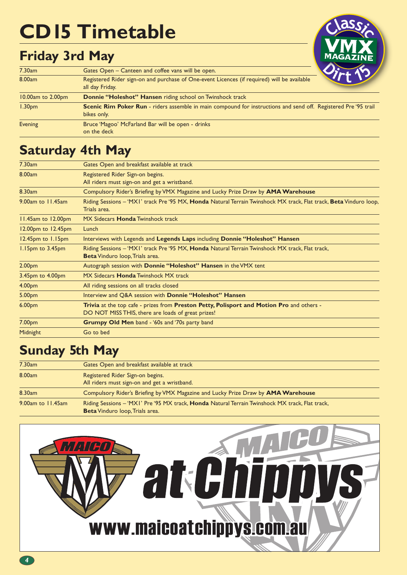# **CD15 Timetable**

# **Friday 3rd May**



| 7.30am             | Gates Open – Canteen and coffee vans will be open.                                                                             |
|--------------------|--------------------------------------------------------------------------------------------------------------------------------|
| 8.00am             | Registered Rider sign-on and purchase of One-event Licences (if required) will be available<br>all day Friday.                 |
| 10.00am to 2.00pm  | <b>Donnie "Holeshot" Hansen</b> riding school on Twinshock track                                                               |
| 1.30 <sub>pm</sub> | Scenic Rim Poker Run - riders assemble in main compound for instructions and send off. Registered Pre '95 trail<br>bikes only. |
| Evening            | Bruce 'Magoo' McFarland Bar will be open - drinks<br>on the deck                                                               |

## **Saturday 4th May**

| Compulsory Rider's Briefing by VMX Magazine and Lucky Prize Draw by AMA Warehouse                                  |
|--------------------------------------------------------------------------------------------------------------------|
|                                                                                                                    |
| Riding Sessions - 'MXI' track Pre '95 MX, Honda Natural Terrain Twinshock MX track, Flat track, Beta Vinduro loop, |
|                                                                                                                    |
|                                                                                                                    |
|                                                                                                                    |
|                                                                                                                    |
| Interviews with Legends and Legends Laps including Donnie "Holeshot" Hansen                                        |
| Riding Sessions - 'MXI' track Pre '95 MX, <b>Honda</b> Natural Terrain Twinshock MX track, Flat track,             |
|                                                                                                                    |
|                                                                                                                    |
|                                                                                                                    |
|                                                                                                                    |
|                                                                                                                    |
| Trivia at the top cafe - prizes from Preston Petty, Polisport and Motion Pro and others -                          |
|                                                                                                                    |
|                                                                                                                    |
|                                                                                                                    |
|                                                                                                                    |

### **Sunday 5th May**

| 7.30am            | Gates Open and breakfast available at track                                                                                                      |
|-------------------|--------------------------------------------------------------------------------------------------------------------------------------------------|
| 8.00am            | Registered Rider Sign-on begins.<br>All riders must sign-on and get a wristband.                                                                 |
| 8.30am            | Compulsory Rider's Briefing by VMX Magazine and Lucky Prize Draw by <b>AMA Warehouse</b>                                                         |
| 9.00am to 11.45am | Riding Sessions – 'MXI' Pre '95 MX track, <b>Honda</b> Natural Terrain Twinshock MX track, Flat track,<br><b>Beta</b> Vinduro loop, Trials area. |